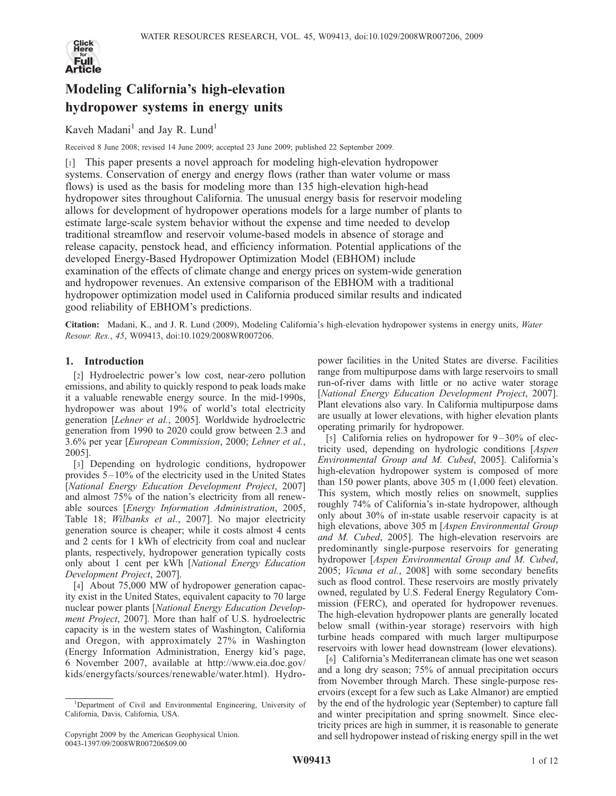

# Modeling California's high-elevation hydropower systems in energy units

# Kaveh Madani<sup>1</sup> and Jay R. Lund<sup>1</sup>

Received 8 June 2008; revised 14 June 2009; accepted 23 June 2009; published 22 September 2009.

[1] This paper presents a novel approach for modeling high-elevation hydropower systems. Conservation of energy and energy flows (rather than water volume or mass flows) is used as the basis for modeling more than 135 high-elevation high-head hydropower sites throughout California. The unusual energy basis for reservoir modeling allows for development of hydropower operations models for a large number of plants to estimate large-scale system behavior without the expense and time needed to develop traditional streamflow and reservoir volume-based models in absence of storage and release capacity, penstock head, and efficiency information. Potential applications of the developed Energy-Based Hydropower Optimization Model (EBHOM) include examination of the effects of climate change and energy prices on system-wide generation and hydropower revenues. An extensive comparison of the EBHOM with a traditional hydropower optimization model used in California produced similar results and indicated good reliability of EBHOM's predictions.

Citation: Madani, K., and J. R. Lund (2009), Modeling California's high-elevation hydropower systems in energy units, Water Resour. Res., 45, W09413, doi:10.1029/2008WR007206.

# 1. Introduction

[2] Hydroelectric power's low cost, near-zero pollution emissions, and ability to quickly respond to peak loads make it a valuable renewable energy source. In the mid-1990s, hydropower was about 19% of world's total electricity generation [Lehner et al., 2005]. Worldwide hydroelectric generation from 1990 to 2020 could grow between 2.3 and 3.6% per year [European Commission, 2000; Lehner et al., 2005].

[3] Depending on hydrologic conditions, hydropower provides  $5 - 10\%$  of the electricity used in the United States [National Energy Education Development Project, 2007] and almost 75% of the nation's electricity from all renewable sources [Energy Information Administration, 2005, Table 18; Wilbanks et al., 2007]. No major electricity generation source is cheaper; while it costs almost 4 cents and 2 cents for 1 kWh of electricity from coal and nuclear plants, respectively, hydropower generation typically costs only about 1 cent per kWh [National Energy Education Development Project, 2007].

[4] About 75,000 MW of hydropower generation capacity exist in the United States, equivalent capacity to 70 large nuclear power plants [National Energy Education Development Project, 2007]. More than half of U.S. hydroelectric capacity is in the western states of Washington, California and Oregon, with approximately 27% in Washington (Energy Information Administration, Energy kid's page, 6 November 2007, available at http://www.eia.doe.gov/ kids/energyfacts/sources/renewable/water.html). Hydropower facilities in the United States are diverse. Facilities range from multipurpose dams with large reservoirs to small run-of-river dams with little or no active water storage [National Energy Education Development Project, 2007]. Plant elevations also vary. In California multipurpose dams are usually at lower elevations, with higher elevation plants operating primarily for hydropower.

[5] California relies on hydropower for  $9-30\%$  of electricity used, depending on hydrologic conditions [Aspen Environmental Group and M. Cubed, 2005]. California's high-elevation hydropower system is composed of more than 150 power plants, above 305 m (1,000 feet) elevation. This system, which mostly relies on snowmelt, supplies roughly 74% of California's in-state hydropower, although only about 30% of in-state usable reservoir capacity is at high elevations, above 305 m [*Aspen Environmental Group* and M. Cubed, 2005]. The high-elevation reservoirs are predominantly single-purpose reservoirs for generating hydropower [Aspen Environmental Group and M. Cubed, 2005; Vicuna et al., 2008] with some secondary benefits such as flood control. These reservoirs are mostly privately owned, regulated by U.S. Federal Energy Regulatory Commission (FERC), and operated for hydropower revenues. The high-elevation hydropower plants are generally located below small (within-year storage) reservoirs with high turbine heads compared with much larger multipurpose reservoirs with lower head downstream (lower elevations).

[6] California's Mediterranean climate has one wet season and a long dry season; 75% of annual precipitation occurs from November through March. These single-purpose reservoirs (except for a few such as Lake Almanor) are emptied by the end of the hydrologic year (September) to capture fall and winter precipitation and spring snowmelt. Since electricity prices are high in summer, it is reasonable to generate and sell hydropower instead of risking energy spill in the wet

<sup>&</sup>lt;sup>1</sup>Department of Civil and Environmental Engineering, University of California, Davis, California, USA.

Copyright 2009 by the American Geophysical Union. 0043-1397/09/2008WR007206\$09.00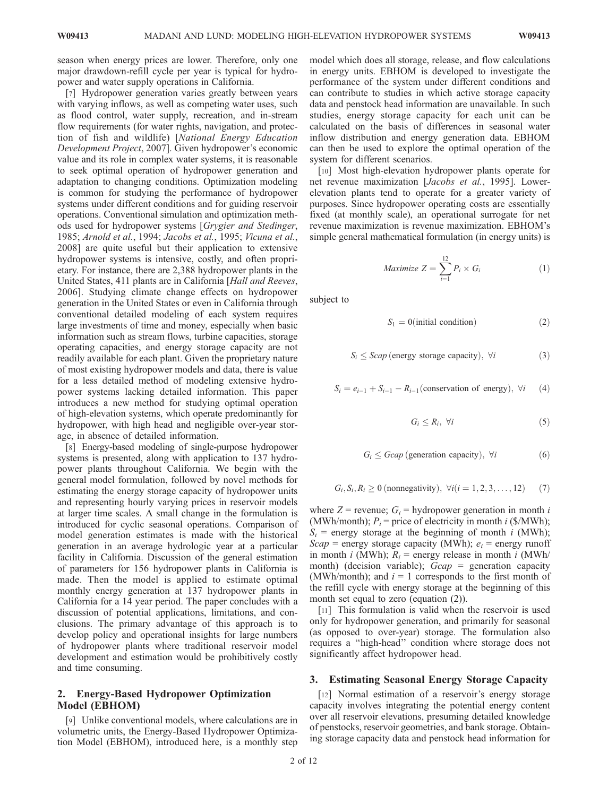season when energy prices are lower. Therefore, only one major drawdown-refill cycle per year is typical for hydropower and water supply operations in California.

[7] Hydropower generation varies greatly between years with varying inflows, as well as competing water uses, such as flood control, water supply, recreation, and in-stream flow requirements (for water rights, navigation, and protection of fish and wildlife) [National Energy Education Development Project, 2007]. Given hydropower's economic value and its role in complex water systems, it is reasonable to seek optimal operation of hydropower generation and adaptation to changing conditions. Optimization modeling is common for studying the performance of hydropower systems under different conditions and for guiding reservoir operations. Conventional simulation and optimization methods used for hydropower systems [Grygier and Stedinger, 1985; Arnold et al., 1994; Jacobs et al., 1995; Vicuna et al., 2008] are quite useful but their application to extensive hydropower systems is intensive, costly, and often proprietary. For instance, there are 2,388 hydropower plants in the United States, 411 plants are in California [Hall and Reeves, 2006]. Studying climate change effects on hydropower generation in the United States or even in California through conventional detailed modeling of each system requires large investments of time and money, especially when basic information such as stream flows, turbine capacities, storage operating capacities, and energy storage capacity are not readily available for each plant. Given the proprietary nature of most existing hydropower models and data, there is value for a less detailed method of modeling extensive hydropower systems lacking detailed information. This paper introduces a new method for studying optimal operation of high-elevation systems, which operate predominantly for hydropower, with high head and negligible over-year storage, in absence of detailed information.

[8] Energy-based modeling of single-purpose hydropower systems is presented, along with application to 137 hydropower plants throughout California. We begin with the general model formulation, followed by novel methods for estimating the energy storage capacity of hydropower units and representing hourly varying prices in reservoir models at larger time scales. A small change in the formulation is introduced for cyclic seasonal operations. Comparison of model generation estimates is made with the historical generation in an average hydrologic year at a particular facility in California. Discussion of the general estimation of parameters for 156 hydropower plants in California is made. Then the model is applied to estimate optimal monthly energy generation at 137 hydropower plants in California for a 14 year period. The paper concludes with a discussion of potential applications, limitations, and conclusions. The primary advantage of this approach is to develop policy and operational insights for large numbers of hydropower plants where traditional reservoir model development and estimation would be prohibitively costly and time consuming.

#### 2. Energy-Based Hydropower Optimization Model (EBHOM)

[9] Unlike conventional models, where calculations are in volumetric units, the Energy-Based Hydropower Optimization Model (EBHOM), introduced here, is a monthly step

model which does all storage, release, and flow calculations in energy units. EBHOM is developed to investigate the performance of the system under different conditions and can contribute to studies in which active storage capacity data and penstock head information are unavailable. In such studies, energy storage capacity for each unit can be calculated on the basis of differences in seasonal water inflow distribution and energy generation data. EBHOM can then be used to explore the optimal operation of the system for different scenarios.

[10] Most high-elevation hydropower plants operate for net revenue maximization [Jacobs et al., 1995]. Lowerelevation plants tend to operate for a greater variety of purposes. Since hydropower operating costs are essentially fixed (at monthly scale), an operational surrogate for net revenue maximization is revenue maximization. EBHOM's simple general mathematical formulation (in energy units) is

$$
Maximize Z = \sum_{i=1}^{12} P_i \times G_i
$$
 (1)

subject to

$$
S_1 = 0(\text{initial condition})\tag{2}
$$

$$
S_i \leq \text{Scap} \text{ (energy storage capacity)}, \ \forall i \tag{3}
$$

 $S_i = e_{i-1} + S_{i-1} - R_{i-1}$ (conservation of energy),  $\forall i$  (4)

$$
G_i \leq R_i, \ \forall i \tag{5}
$$

$$
G_i \leq Gcap \text{ (generation capacity)}, \ \forall i \tag{6}
$$

$$
G_i, S_i, R_i \ge 0 \text{ (nonnegativity)}, \ \forall i (i = 1, 2, 3, \dots, 12) \tag{7}
$$

where  $Z$  = revenue;  $G_i$  = hydropower generation in month i (MWh/month);  $P_i$  = price of electricity in month *i* (\$/MWh);  $S_i$  = energy storage at the beginning of month *i* (MWh);  $Scap =$  energy storage capacity (MWh);  $e_i =$  energy runoff in month *i* (MWh);  $R_i$  = energy release in month *i* (MWh/ month) (decision variable);  $Gcap =$  generation capacity (MWh/month); and  $i = 1$  corresponds to the first month of the refill cycle with energy storage at the beginning of this month set equal to zero (equation (2)).

[11] This formulation is valid when the reservoir is used only for hydropower generation, and primarily for seasonal (as opposed to over-year) storage. The formulation also requires a ''high-head'' condition where storage does not significantly affect hydropower head.

#### 3. Estimating Seasonal Energy Storage Capacity

[12] Normal estimation of a reservoir's energy storage capacity involves integrating the potential energy content over all reservoir elevations, presuming detailed knowledge of penstocks, reservoir geometries, and bank storage. Obtaining storage capacity data and penstock head information for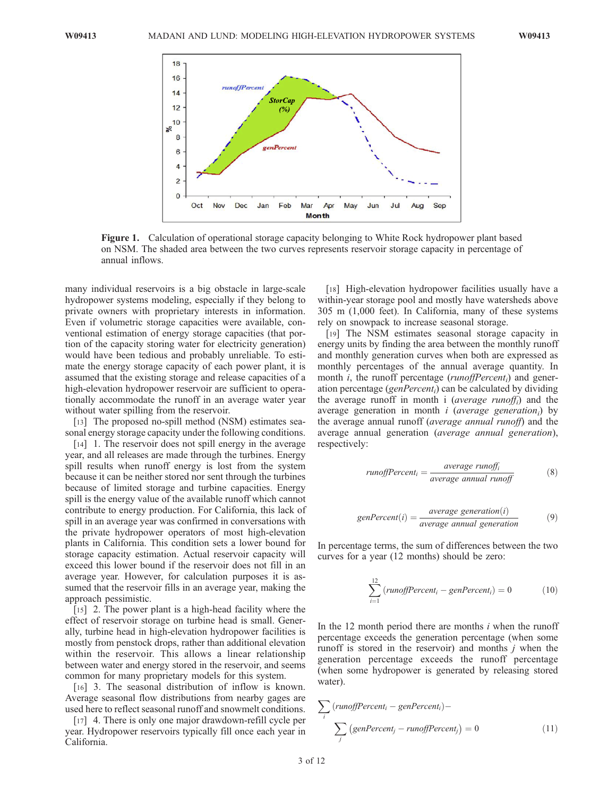

Figure 1. Calculation of operational storage capacity belonging to White Rock hydropower plant based on NSM. The shaded area between the two curves represents reservoir storage capacity in percentage of annual inflows.

many individual reservoirs is a big obstacle in large-scale hydropower systems modeling, especially if they belong to private owners with proprietary interests in information. Even if volumetric storage capacities were available, conventional estimation of energy storage capacities (that portion of the capacity storing water for electricity generation) would have been tedious and probably unreliable. To estimate the energy storage capacity of each power plant, it is assumed that the existing storage and release capacities of a high-elevation hydropower reservoir are sufficient to operationally accommodate the runoff in an average water year without water spilling from the reservoir.

[13] The proposed no-spill method (NSM) estimates seasonal energy storage capacity under the following conditions.

[14] 1. The reservoir does not spill energy in the average year, and all releases are made through the turbines. Energy spill results when runoff energy is lost from the system because it can be neither stored nor sent through the turbines because of limited storage and turbine capacities. Energy spill is the energy value of the available runoff which cannot contribute to energy production. For California, this lack of spill in an average year was confirmed in conversations with the private hydropower operators of most high-elevation plants in California. This condition sets a lower bound for storage capacity estimation. Actual reservoir capacity will exceed this lower bound if the reservoir does not fill in an average year. However, for calculation purposes it is assumed that the reservoir fills in an average year, making the approach pessimistic.

[15] 2. The power plant is a high-head facility where the effect of reservoir storage on turbine head is small. Generally, turbine head in high-elevation hydropower facilities is mostly from penstock drops, rather than additional elevation within the reservoir. This allows a linear relationship between water and energy stored in the reservoir, and seems common for many proprietary models for this system.

[16] 3. The seasonal distribution of inflow is known. Average seasonal flow distributions from nearby gages are used here to reflect seasonal runoff and snowmelt conditions.

[17] 4. There is only one major drawdown-refill cycle per year. Hydropower reservoirs typically fill once each year in California.

[18] High-elevation hydropower facilities usually have a within-year storage pool and mostly have watersheds above 305 m (1,000 feet). In California, many of these systems rely on snowpack to increase seasonal storage.

[19] The NSM estimates seasonal storage capacity in energy units by finding the area between the monthly runoff and monthly generation curves when both are expressed as monthly percentages of the annual average quantity. In month *i*, the runoff percentage (*runoffPercent<sub>i</sub>*) and generation percentage (genPercent<sub>i</sub>) can be calculated by dividing the average runoff in month i (*average runoff<sub>i</sub>*) and the average generation in month *i* (*average generation*<sub>*i*</sub>) by the average annual runoff (average annual runoff) and the average annual generation (average annual generation), respectively:

$$
runoffPercent_i = \frac{average\ runoff_i}{average\ annual\ runoff}
$$
 (8)

$$
genPercent(i) = \frac{average \, generation(i)}{average \, annual \, generation} \tag{9}
$$

In percentage terms, the sum of differences between the two curves for a year (12 months) should be zero:

$$
\sum_{i=1}^{12} (runoffPercent_i - genPercent_i) = 0
$$
 (10)

In the 12 month period there are months  $i$  when the runoff percentage exceeds the generation percentage (when some runoff is stored in the reservoir) and months  $j$  when the generation percentage exceeds the runoff percentage (when some hydropower is generated by releasing stored water).

$$
\sum_{i} (runoffPercent_i - genPercent_i) -
$$

$$
\sum_{j} (genPercent_j - runoffPercent_j) = 0
$$
(11)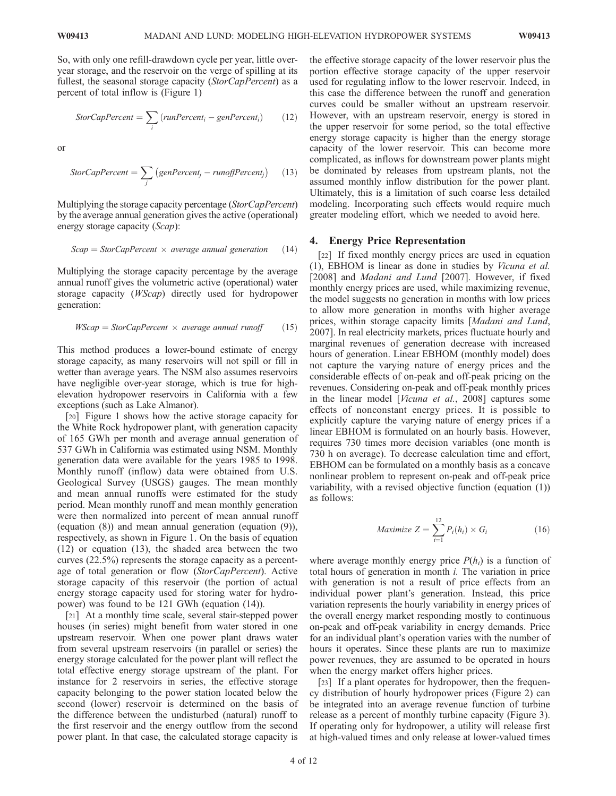So, with only one refill-drawdown cycle per year, little overyear storage, and the reservoir on the verge of spilling at its fullest, the seasonal storage capacity (StorCapPercent) as a percent of total inflow is (Figure 1)

$$
StorCapPercent = \sum_{i} (runPercent_i - genPercent_i)
$$
 (12)

or

$$
StorCapPercent = \sum_{j} (genPercent_j - runoffPercent_j)
$$
 (13)

Multiplying the storage capacity percentage (StorCapPercent) by the average annual generation gives the active (operational) energy storage capacity (Scap):

$$
Scap = StorCapPercent \times average annual generation
$$
 (14)

Multiplying the storage capacity percentage by the average annual runoff gives the volumetric active (operational) water storage capacity (WScap) directly used for hydropower generation:

$$
WScap = StorCapPercent \times average annual runoff \qquad (15)
$$

This method produces a lower-bound estimate of energy storage capacity, as many reservoirs will not spill or fill in wetter than average years. The NSM also assumes reservoirs have negligible over-year storage, which is true for highelevation hydropower reservoirs in California with a few exceptions (such as Lake Almanor).

[20] Figure 1 shows how the active storage capacity for the White Rock hydropower plant, with generation capacity of 165 GWh per month and average annual generation of 537 GWh in California was estimated using NSM. Monthly generation data were available for the years 1985 to 1998. Monthly runoff (inflow) data were obtained from U.S. Geological Survey (USGS) gauges. The mean monthly and mean annual runoffs were estimated for the study period. Mean monthly runoff and mean monthly generation were then normalized into percent of mean annual runoff (equation (8)) and mean annual generation (equation (9)), respectively, as shown in Figure 1. On the basis of equation (12) or equation (13), the shaded area between the two curves (22.5%) represents the storage capacity as a percentage of total generation or flow (StorCapPercent). Active storage capacity of this reservoir (the portion of actual energy storage capacity used for storing water for hydropower) was found to be 121 GWh (equation (14)).

[21] At a monthly time scale, several stair-stepped power houses (in series) might benefit from water stored in one upstream reservoir. When one power plant draws water from several upstream reservoirs (in parallel or series) the energy storage calculated for the power plant will reflect the total effective energy storage upstream of the plant. For instance for 2 reservoirs in series, the effective storage capacity belonging to the power station located below the second (lower) reservoir is determined on the basis of the difference between the undisturbed (natural) runoff to the first reservoir and the energy outflow from the second power plant. In that case, the calculated storage capacity is

the effective storage capacity of the lower reservoir plus the portion effective storage capacity of the upper reservoir used for regulating inflow to the lower reservoir. Indeed, in this case the difference between the runoff and generation curves could be smaller without an upstream reservoir. However, with an upstream reservoir, energy is stored in the upper reservoir for some period, so the total effective energy storage capacity is higher than the energy storage capacity of the lower reservoir. This can become more complicated, as inflows for downstream power plants might be dominated by releases from upstream plants, not the assumed monthly inflow distribution for the power plant. Ultimately, this is a limitation of such coarse less detailed modeling. Incorporating such effects would require much greater modeling effort, which we needed to avoid here.

#### 4. Energy Price Representation

[22] If fixed monthly energy prices are used in equation (1), EBHOM is linear as done in studies by Vicuna et al. [2008] and Madani and Lund [2007]. However, if fixed monthly energy prices are used, while maximizing revenue, the model suggests no generation in months with low prices to allow more generation in months with higher average prices, within storage capacity limits [Madani and Lund, 2007]. In real electricity markets, prices fluctuate hourly and marginal revenues of generation decrease with increased hours of generation. Linear EBHOM (monthly model) does not capture the varying nature of energy prices and the considerable effects of on-peak and off-peak pricing on the revenues. Considering on-peak and off-peak monthly prices in the linear model [Vicuna et al., 2008] captures some effects of nonconstant energy prices. It is possible to explicitly capture the varying nature of energy prices if a linear EBHOM is formulated on an hourly basis. However, requires 730 times more decision variables (one month is 730 h on average). To decrease calculation time and effort, EBHOM can be formulated on a monthly basis as a concave nonlinear problem to represent on-peak and off-peak price variability, with a revised objective function (equation (1)) as follows:

$$
Maximize Z = \sum_{i=1}^{12} P_i(h_i) \times G_i
$$
 (16)

where average monthly energy price  $P(h_i)$  is a function of total hours of generation in month  $i$ . The variation in price with generation is not a result of price effects from an individual power plant's generation. Instead, this price variation represents the hourly variability in energy prices of the overall energy market responding mostly to continuous on-peak and off-peak variability in energy demands. Price for an individual plant's operation varies with the number of hours it operates. Since these plants are run to maximize power revenues, they are assumed to be operated in hours when the energy market offers higher prices.

[23] If a plant operates for hydropower, then the frequency distribution of hourly hydropower prices (Figure 2) can be integrated into an average revenue function of turbine release as a percent of monthly turbine capacity (Figure 3). If operating only for hydropower, a utility will release first at high-valued times and only release at lower-valued times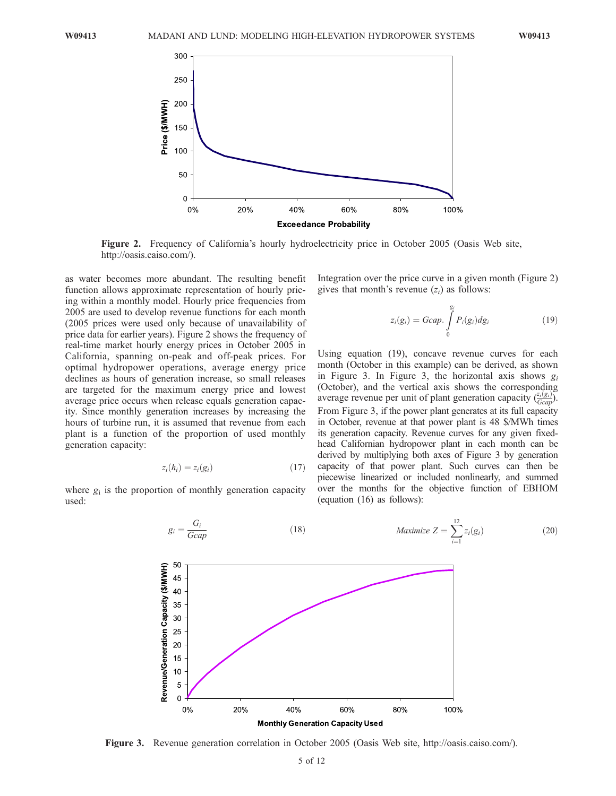

Figure 2. Frequency of California's hourly hydroelectricity price in October 2005 (Oasis Web site, http://oasis.caiso.com/).

as water becomes more abundant. The resulting benefit function allows approximate representation of hourly pricing within a monthly model. Hourly price frequencies from 2005 are used to develop revenue functions for each month (2005 prices were used only because of unavailability of price data for earlier years). Figure 2 shows the frequency of real-time market hourly energy prices in October 2005 in California, spanning on-peak and off-peak prices. For optimal hydropower operations, average energy price declines as hours of generation increase, so small releases are targeted for the maximum energy price and lowest average price occurs when release equals generation capacity. Since monthly generation increases by increasing the hours of turbine run, it is assumed that revenue from each plant is a function of the proportion of used monthly generation capacity:

$$
z_i(h_i) = z_i(g_i) \tag{17}
$$

where  $g_i$  is the proportion of monthly generation capacity used:

Integration over the price curve in a given month (Figure 2) gives that month's revenue  $(z_i)$  as follows:

$$
z_i(g_i) = Gcap \int\limits_0^{g_i} P_i(g_i) dg_i \qquad (19)
$$

Using equation (19), concave revenue curves for each month (October in this example) can be derived, as shown in Figure 3. In Figure 3, the horizontal axis shows  $g_i$ (October), and the vertical axis shows the corresponding average revenue per unit of plant generation capacity  $\left(\frac{z_i(g_i)}{Geap}\right)$ . From Figure 3, if the power plant generates at its full capacity in October, revenue at that power plant is 48 \$/MWh times its generation capacity. Revenue curves for any given fixedhead Californian hydropower plant in each month can be derived by multiplying both axes of Figure 3 by generation capacity of that power plant. Such curves can then be piecewise linearized or included nonlinearly, and summed over the months for the objective function of EBHOM (equation (16) as follows):



Figure 3. Revenue generation correlation in October 2005 (Oasis Web site, http://oasis.caiso.com/).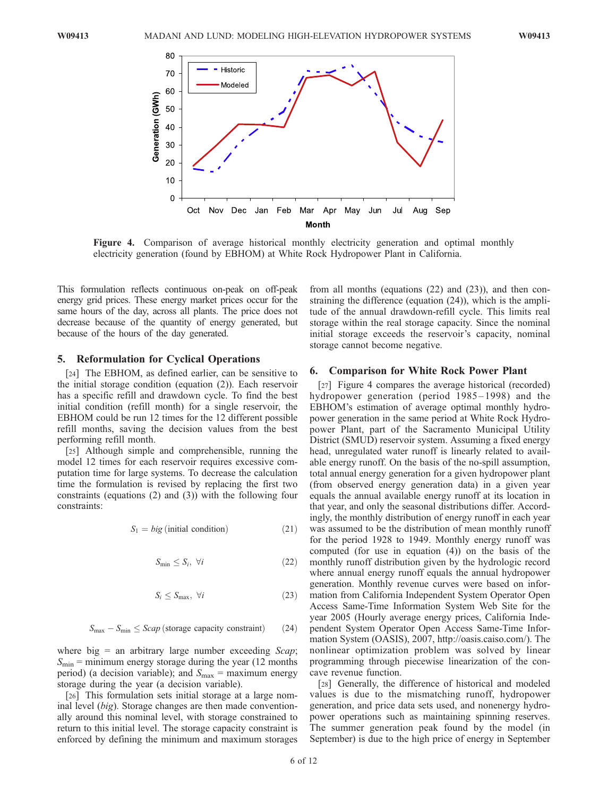

Figure 4. Comparison of average historical monthly electricity generation and optimal monthly electricity generation (found by EBHOM) at White Rock Hydropower Plant in California.

This formulation reflects continuous on-peak on off-peak energy grid prices. These energy market prices occur for the same hours of the day, across all plants. The price does not decrease because of the quantity of energy generated, but because of the hours of the day generated.

#### 5. Reformulation for Cyclical Operations

[24] The EBHOM, as defined earlier, can be sensitive to the initial storage condition (equation (2)). Each reservoir has a specific refill and drawdown cycle. To find the best initial condition (refill month) for a single reservoir, the EBHOM could be run 12 times for the 12 different possible refill months, saving the decision values from the best performing refill month.

[25] Although simple and comprehensible, running the model 12 times for each reservoir requires excessive computation time for large systems. To decrease the calculation time the formulation is revised by replacing the first two constraints (equations (2) and (3)) with the following four constraints:

$$
S_1 = big (initial condition)
$$
 (21)

$$
S_{\min} \le S_i, \ \forall i \tag{22}
$$

$$
S_i \le S_{\text{max}}, \ \forall i \tag{23}
$$

$$
S_{\text{max}} - S_{\text{min}} \leq Scap \left(\text{storage capacity constraint}\right) \qquad (24)
$$

where big = an arbitrary large number exceeding  $Scap$ ;  $S_{\text{min}}$  = minimum energy storage during the year (12 months period) (a decision variable); and  $S_{\text{max}} = \text{maximum energy}$ storage during the year (a decision variable).

[26] This formulation sets initial storage at a large nominal level (big). Storage changes are then made conventionally around this nominal level, with storage constrained to return to this initial level. The storage capacity constraint is enforced by defining the minimum and maximum storages

from all months (equations (22) and (23)), and then constraining the difference (equation (24)), which is the amplitude of the annual drawdown-refill cycle. This limits real storage within the real storage capacity. Since the nominal initial storage exceeds the reservoir's capacity, nominal storage cannot become negative.

#### 6. Comparison for White Rock Power Plant

[27] Figure 4 compares the average historical (recorded) hydropower generation (period 1985-1998) and the EBHOM's estimation of average optimal monthly hydropower generation in the same period at White Rock Hydropower Plant, part of the Sacramento Municipal Utility District (SMUD) reservoir system. Assuming a fixed energy head, unregulated water runoff is linearly related to available energy runoff. On the basis of the no-spill assumption, total annual energy generation for a given hydropower plant (from observed energy generation data) in a given year equals the annual available energy runoff at its location in that year, and only the seasonal distributions differ. Accordingly, the monthly distribution of energy runoff in each year was assumed to be the distribution of mean monthly runoff for the period 1928 to 1949. Monthly energy runoff was computed (for use in equation (4)) on the basis of the monthly runoff distribution given by the hydrologic record where annual energy runoff equals the annual hydropower generation. Monthly revenue curves were based on information from California Independent System Operator Open Access Same-Time Information System Web Site for the year 2005 (Hourly average energy prices, California Independent System Operator Open Access Same-Time Information System (OASIS), 2007, http://oasis.caiso.com/). The nonlinear optimization problem was solved by linear programming through piecewise linearization of the concave revenue function.

[28] Generally, the difference of historical and modeled values is due to the mismatching runoff, hydropower generation, and price data sets used, and nonenergy hydropower operations such as maintaining spinning reserves. The summer generation peak found by the model (in September) is due to the high price of energy in September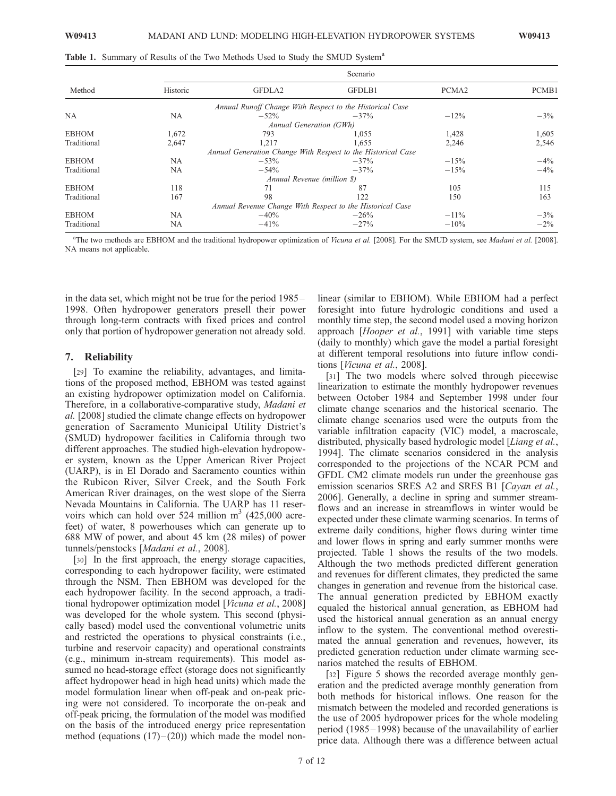|  |  | Table 1. Summary of Results of the Two Methods Used to Study the SMUD System <sup>a</sup> |  |  |
|--|--|-------------------------------------------------------------------------------------------|--|--|
|--|--|-------------------------------------------------------------------------------------------|--|--|

| Method       | Scenario  |                                                              |        |                   |        |  |
|--------------|-----------|--------------------------------------------------------------|--------|-------------------|--------|--|
|              | Historic  | GFDLA2                                                       | GFDLB1 | PCMA <sub>2</sub> | PCMB1  |  |
|              |           | Annual Runoff Change With Respect to the Historical Case     |        |                   |        |  |
| <b>NA</b>    | <b>NA</b> | $-52\%$                                                      | $-37%$ | $-12\%$           | $-3\%$ |  |
|              |           | Annual Generation (GWh)                                      |        |                   |        |  |
| <b>EBHOM</b> | 1,672     | 793                                                          | 1,055  | 1,428             | 1,605  |  |
| Traditional  | 2,647     | 1.217                                                        | 1.655  | 2,246             | 2,546  |  |
|              |           | Annual Generation Change With Respect to the Historical Case |        |                   |        |  |
| <b>EBHOM</b> | <b>NA</b> | $-53\%$                                                      | $-37%$ | $-15%$            | $-4\%$ |  |
| Traditional  | <b>NA</b> | $-54\%$                                                      | $-37%$ | $-15%$            | $-4\%$ |  |
|              |           | Annual Revenue (million \$)                                  |        |                   |        |  |
| <b>EBHOM</b> | 118       | 71                                                           | 87     | 105               | 115    |  |
| Traditional  | 167       | 98                                                           | 122    | 150               | 163    |  |
|              |           | Annual Revenue Change With Respect to the Historical Case    |        |                   |        |  |
| <b>EBHOM</b> | <b>NA</b> | $-40%$                                                       | $-26%$ | $-11\%$           | $-3\%$ |  |
| Traditional  | <b>NA</b> | $-41\%$                                                      | $-27%$ | $-10%$            | $-2\%$ |  |

<sup>a</sup>The two methods are EBHOM and the traditional hydropower optimization of Vicuna et al. [2008]. For the SMUD system, see Madani et al. [2008]. NA means not applicable.

in the data set, which might not be true for the period 1985 – 1998. Often hydropower generators presell their power through long-term contracts with fixed prices and control only that portion of hydropower generation not already sold.

#### 7. Reliability

[29] To examine the reliability, advantages, and limitations of the proposed method, EBHOM was tested against an existing hydropower optimization model on California. Therefore, in a collaborative-comparative study, Madani et al. [2008] studied the climate change effects on hydropower generation of Sacramento Municipal Utility District's (SMUD) hydropower facilities in California through two different approaches. The studied high-elevation hydropower system, known as the Upper American River Project (UARP), is in El Dorado and Sacramento counties within the Rubicon River, Silver Creek, and the South Fork American River drainages, on the west slope of the Sierra Nevada Mountains in California. The UARP has 11 reservoirs which can hold over 524 million  $m<sup>3</sup>$  (425,000 acrefeet) of water, 8 powerhouses which can generate up to 688 MW of power, and about 45 km (28 miles) of power tunnels/penstocks [Madani et al., 2008].

[30] In the first approach, the energy storage capacities, corresponding to each hydropower facility, were estimated through the NSM. Then EBHOM was developed for the each hydropower facility. In the second approach, a traditional hydropower optimization model [*Vicuna et al.*, 2008] was developed for the whole system. This second (physically based) model used the conventional volumetric units and restricted the operations to physical constraints (i.e., turbine and reservoir capacity) and operational constraints (e.g., minimum in-stream requirements). This model assumed no head-storage effect (storage does not significantly affect hydropower head in high head units) which made the model formulation linear when off-peak and on-peak pricing were not considered. To incorporate the on-peak and off-peak pricing, the formulation of the model was modified on the basis of the introduced energy price representation method (equations  $(17)$ – $(20)$ ) which made the model nonlinear (similar to EBHOM). While EBHOM had a perfect foresight into future hydrologic conditions and used a monthly time step, the second model used a moving horizon approach [Hooper et al., 1991] with variable time steps (daily to monthly) which gave the model a partial foresight at different temporal resolutions into future inflow conditions [Vicuna et al., 2008].

[31] The two models where solved through piecewise linearization to estimate the monthly hydropower revenues between October 1984 and September 1998 under four climate change scenarios and the historical scenario. The climate change scenarios used were the outputs from the variable infiltration capacity (VIC) model, a macroscale, distributed, physically based hydrologic model [Liang et al., 1994]. The climate scenarios considered in the analysis corresponded to the projections of the NCAR PCM and GFDL CM2 climate models run under the greenhouse gas emission scenarios SRES A2 and SRES B1 [Cayan et al., 2006]. Generally, a decline in spring and summer streamflows and an increase in streamflows in winter would be expected under these climate warming scenarios. In terms of extreme daily conditions, higher flows during winter time and lower flows in spring and early summer months were projected. Table 1 shows the results of the two models. Although the two methods predicted different generation and revenues for different climates, they predicted the same changes in generation and revenue from the historical case. The annual generation predicted by EBHOM exactly equaled the historical annual generation, as EBHOM had used the historical annual generation as an annual energy inflow to the system. The conventional method overestimated the annual generation and revenues, however, its predicted generation reduction under climate warming scenarios matched the results of EBHOM.

[32] Figure 5 shows the recorded average monthly generation and the predicted average monthly generation from both methods for historical inflows. One reason for the mismatch between the modeled and recorded generations is the use of 2005 hydropower prices for the whole modeling period (1985 – 1998) because of the unavailability of earlier price data. Although there was a difference between actual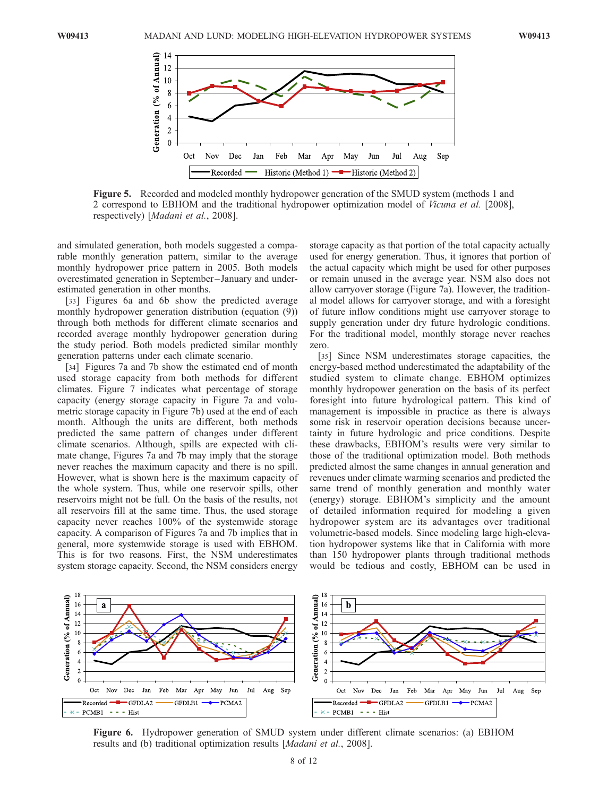

Figure 5. Recorded and modeled monthly hydropower generation of the SMUD system (methods 1 and 2 correspond to EBHOM and the traditional hydropower optimization model of Vicuna et al. [2008], respectively) [Madani et al., 2008].

and simulated generation, both models suggested a comparable monthly generation pattern, similar to the average monthly hydropower price pattern in 2005. Both models overestimated generation in September – January and underestimated generation in other months.

[33] Figures 6a and 6b show the predicted average monthly hydropower generation distribution (equation (9)) through both methods for different climate scenarios and recorded average monthly hydropower generation during the study period. Both models predicted similar monthly generation patterns under each climate scenario.

[34] Figures 7a and 7b show the estimated end of month used storage capacity from both methods for different climates. Figure 7 indicates what percentage of storage capacity (energy storage capacity in Figure 7a and volumetric storage capacity in Figure 7b) used at the end of each month. Although the units are different, both methods predicted the same pattern of changes under different climate scenarios. Although, spills are expected with climate change, Figures 7a and 7b may imply that the storage never reaches the maximum capacity and there is no spill. However, what is shown here is the maximum capacity of the whole system. Thus, while one reservoir spills, other reservoirs might not be full. On the basis of the results, not all reservoirs fill at the same time. Thus, the used storage capacity never reaches 100% of the systemwide storage capacity. A comparison of Figures 7a and 7b implies that in general, more systemwide storage is used with EBHOM. This is for two reasons. First, the NSM underestimates system storage capacity. Second, the NSM considers energy

storage capacity as that portion of the total capacity actually used for energy generation. Thus, it ignores that portion of the actual capacity which might be used for other purposes or remain unused in the average year. NSM also does not allow carryover storage (Figure 7a). However, the traditional model allows for carryover storage, and with a foresight of future inflow conditions might use carryover storage to supply generation under dry future hydrologic conditions. For the traditional model, monthly storage never reaches zero.

[35] Since NSM underestimates storage capacities, the energy-based method underestimated the adaptability of the studied system to climate change. EBHOM optimizes monthly hydropower generation on the basis of its perfect foresight into future hydrological pattern. This kind of management is impossible in practice as there is always some risk in reservoir operation decisions because uncertainty in future hydrologic and price conditions. Despite these drawbacks, EBHOM's results were very similar to those of the traditional optimization model. Both methods predicted almost the same changes in annual generation and revenues under climate warming scenarios and predicted the same trend of monthly generation and monthly water (energy) storage. EBHOM's simplicity and the amount of detailed information required for modeling a given hydropower system are its advantages over traditional volumetric-based models. Since modeling large high-elevation hydropower systems like that in California with more than 150 hydropower plants through traditional methods would be tedious and costly, EBHOM can be used in



Figure 6. Hydropower generation of SMUD system under different climate scenarios: (a) EBHOM results and (b) traditional optimization results [Madani et al., 2008].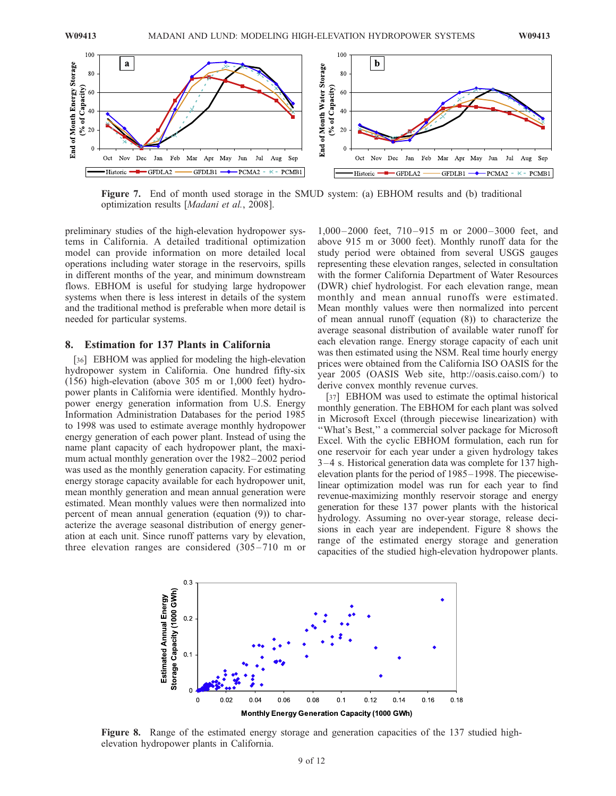

Figure 7. End of month used storage in the SMUD system: (a) EBHOM results and (b) traditional optimization results [Madani et al., 2008].

preliminary studies of the high-elevation hydropower systems in California. A detailed traditional optimization model can provide information on more detailed local operations including water storage in the reservoirs, spills in different months of the year, and minimum downstream flows. EBHOM is useful for studying large hydropower systems when there is less interest in details of the system and the traditional method is preferable when more detail is needed for particular systems.

#### 8. Estimation for 137 Plants in California

[36] EBHOM was applied for modeling the high-elevation hydropower system in California. One hundred fifty-six (156) high-elevation (above 305 m or 1,000 feet) hydropower plants in California were identified. Monthly hydropower energy generation information from U.S. Energy Information Administration Databases for the period 1985 to 1998 was used to estimate average monthly hydropower energy generation of each power plant. Instead of using the name plant capacity of each hydropower plant, the maximum actual monthly generation over the 1982– 2002 period was used as the monthly generation capacity. For estimating energy storage capacity available for each hydropower unit, mean monthly generation and mean annual generation were estimated. Mean monthly values were then normalized into percent of mean annual generation (equation (9)) to characterize the average seasonal distribution of energy generation at each unit. Since runoff patterns vary by elevation, three elevation ranges are considered (305-710 m or

1,000 – 2000 feet, 710 – 915 m or 2000 – 3000 feet, and above 915 m or 3000 feet). Monthly runoff data for the study period were obtained from several USGS gauges representing these elevation ranges, selected in consultation with the former California Department of Water Resources (DWR) chief hydrologist. For each elevation range, mean monthly and mean annual runoffs were estimated. Mean monthly values were then normalized into percent of mean annual runoff (equation (8)) to characterize the average seasonal distribution of available water runoff for each elevation range. Energy storage capacity of each unit was then estimated using the NSM. Real time hourly energy prices were obtained from the California ISO OASIS for the year 2005 (OASIS Web site, http://oasis.caiso.com/) to derive convex monthly revenue curves.

[37] EBHOM was used to estimate the optimal historical monthly generation. The EBHOM for each plant was solved in Microsoft Excel (through piecewise linearization) with ''What's Best,'' a commercial solver package for Microsoft Excel. With the cyclic EBHOM formulation, each run for one reservoir for each year under a given hydrology takes 3 – 4 s. Historical generation data was complete for 137 highelevation plants for the period of 1985–1998. The piecewiselinear optimization model was run for each year to find revenue-maximizing monthly reservoir storage and energy generation for these 137 power plants with the historical hydrology. Assuming no over-year storage, release decisions in each year are independent. Figure 8 shows the range of the estimated energy storage and generation capacities of the studied high-elevation hydropower plants.



Figure 8. Range of the estimated energy storage and generation capacities of the 137 studied highelevation hydropower plants in California.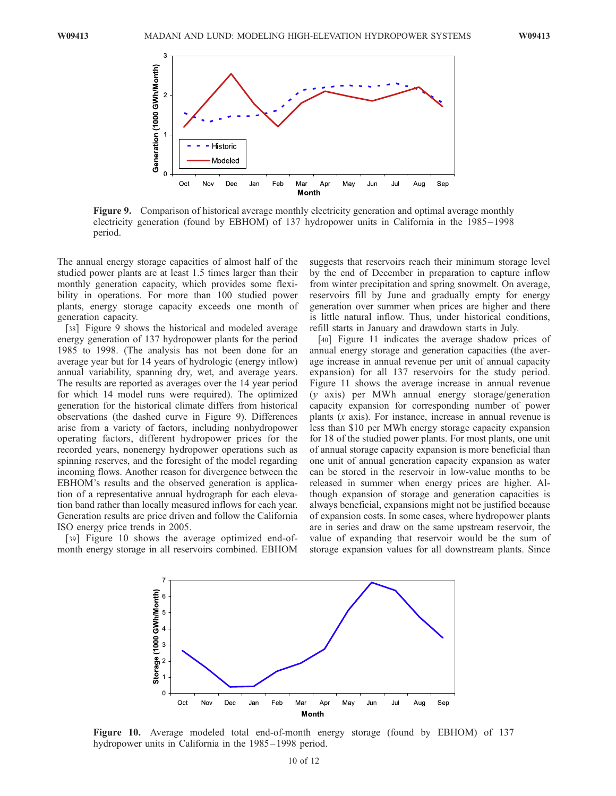

Figure 9. Comparison of historical average monthly electricity generation and optimal average monthly electricity generation (found by EBHOM) of 137 hydropower units in California in the 1985– 1998 period.

The annual energy storage capacities of almost half of the studied power plants are at least 1.5 times larger than their monthly generation capacity, which provides some flexibility in operations. For more than 100 studied power plants, energy storage capacity exceeds one month of generation capacity.

[38] Figure 9 shows the historical and modeled average energy generation of 137 hydropower plants for the period 1985 to 1998. (The analysis has not been done for an average year but for 14 years of hydrologic (energy inflow) annual variability, spanning dry, wet, and average years. The results are reported as averages over the 14 year period for which 14 model runs were required). The optimized generation for the historical climate differs from historical observations (the dashed curve in Figure 9). Differences arise from a variety of factors, including nonhydropower operating factors, different hydropower prices for the recorded years, nonenergy hydropower operations such as spinning reserves, and the foresight of the model regarding incoming flows. Another reason for divergence between the EBHOM's results and the observed generation is application of a representative annual hydrograph for each elevation band rather than locally measured inflows for each year. Generation results are price driven and follow the California ISO energy price trends in 2005.

[39] Figure 10 shows the average optimized end-ofmonth energy storage in all reservoirs combined. EBHOM

suggests that reservoirs reach their minimum storage level by the end of December in preparation to capture inflow from winter precipitation and spring snowmelt. On average, reservoirs fill by June and gradually empty for energy generation over summer when prices are higher and there is little natural inflow. Thus, under historical conditions, refill starts in January and drawdown starts in July.

[40] Figure 11 indicates the average shadow prices of annual energy storage and generation capacities (the average increase in annual revenue per unit of annual capacity expansion) for all 137 reservoirs for the study period. Figure 11 shows the average increase in annual revenue (y axis) per MWh annual energy storage/generation capacity expansion for corresponding number of power plants (x axis). For instance, increase in annual revenue is less than \$10 per MWh energy storage capacity expansion for 18 of the studied power plants. For most plants, one unit of annual storage capacity expansion is more beneficial than one unit of annual generation capacity expansion as water can be stored in the reservoir in low-value months to be released in summer when energy prices are higher. Although expansion of storage and generation capacities is always beneficial, expansions might not be justified because of expansion costs. In some cases, where hydropower plants are in series and draw on the same upstream reservoir, the value of expanding that reservoir would be the sum of storage expansion values for all downstream plants. Since



Figure 10. Average modeled total end-of-month energy storage (found by EBHOM) of 137 hydropower units in California in the 1985–1998 period.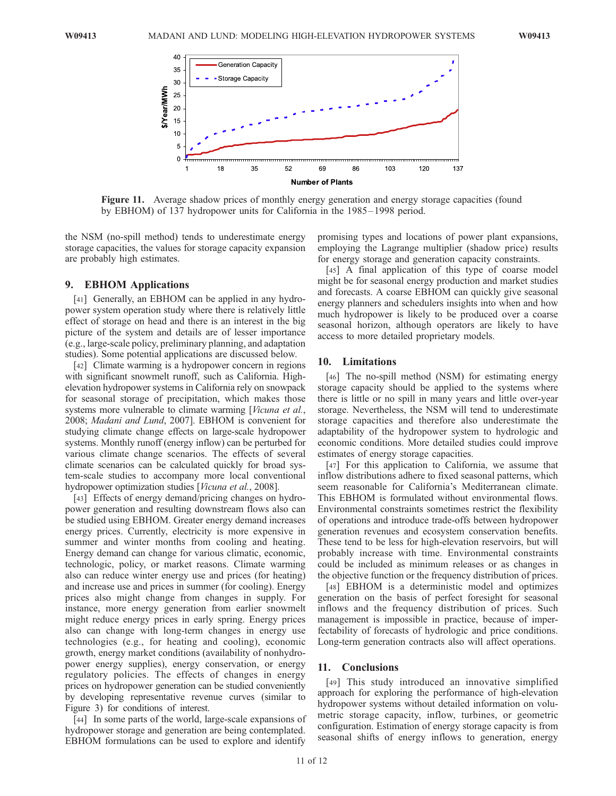

Figure 11. Average shadow prices of monthly energy generation and energy storage capacities (found by EBHOM) of 137 hydropower units for California in the 1985 – 1998 period.

the NSM (no-spill method) tends to underestimate energy storage capacities, the values for storage capacity expansion are probably high estimates.

# 9. EBHOM Applications

[41] Generally, an EBHOM can be applied in any hydropower system operation study where there is relatively little effect of storage on head and there is an interest in the big picture of the system and details are of lesser importance (e.g., large-scale policy, preliminary planning, and adaptation studies). Some potential applications are discussed below.

[42] Climate warming is a hydropower concern in regions with significant snowmelt runoff, such as California. Highelevation hydropower systems in California rely on snowpack for seasonal storage of precipitation, which makes those systems more vulnerable to climate warming [Vicuna et al., 2008; Madani and Lund, 2007]. EBHOM is convenient for studying climate change effects on large-scale hydropower systems. Monthly runoff (energy inflow) can be perturbed for various climate change scenarios. The effects of several climate scenarios can be calculated quickly for broad system-scale studies to accompany more local conventional hydropower optimization studies [Vicuna et al., 2008].

[43] Effects of energy demand/pricing changes on hydropower generation and resulting downstream flows also can be studied using EBHOM. Greater energy demand increases energy prices. Currently, electricity is more expensive in summer and winter months from cooling and heating. Energy demand can change for various climatic, economic, technologic, policy, or market reasons. Climate warming also can reduce winter energy use and prices (for heating) and increase use and prices in summer (for cooling). Energy prices also might change from changes in supply. For instance, more energy generation from earlier snowmelt might reduce energy prices in early spring. Energy prices also can change with long-term changes in energy use technologies (e.g., for heating and cooling), economic growth, energy market conditions (availability of nonhydropower energy supplies), energy conservation, or energy regulatory policies. The effects of changes in energy prices on hydropower generation can be studied conveniently by developing representative revenue curves (similar to Figure 3) for conditions of interest.

[44] In some parts of the world, large-scale expansions of hydropower storage and generation are being contemplated. EBHOM formulations can be used to explore and identify

promising types and locations of power plant expansions, employing the Lagrange multiplier (shadow price) results for energy storage and generation capacity constraints.

[45] A final application of this type of coarse model might be for seasonal energy production and market studies and forecasts. A coarse EBHOM can quickly give seasonal energy planners and schedulers insights into when and how much hydropower is likely to be produced over a coarse seasonal horizon, although operators are likely to have access to more detailed proprietary models.

# 10. Limitations

[46] The no-spill method (NSM) for estimating energy storage capacity should be applied to the systems where there is little or no spill in many years and little over-year storage. Nevertheless, the NSM will tend to underestimate storage capacities and therefore also underestimate the adaptability of the hydropower system to hydrologic and economic conditions. More detailed studies could improve estimates of energy storage capacities.

[47] For this application to California, we assume that inflow distributions adhere to fixed seasonal patterns, which seem reasonable for California's Mediterranean climate. This EBHOM is formulated without environmental flows. Environmental constraints sometimes restrict the flexibility of operations and introduce trade-offs between hydropower generation revenues and ecosystem conservation benefits. These tend to be less for high-elevation reservoirs, but will probably increase with time. Environmental constraints could be included as minimum releases or as changes in the objective function or the frequency distribution of prices.

[48] EBHOM is a deterministic model and optimizes generation on the basis of perfect foresight for seasonal inflows and the frequency distribution of prices. Such management is impossible in practice, because of imperfectability of forecasts of hydrologic and price conditions. Long-term generation contracts also will affect operations.

### 11. Conclusions

[49] This study introduced an innovative simplified approach for exploring the performance of high-elevation hydropower systems without detailed information on volumetric storage capacity, inflow, turbines, or geometric configuration. Estimation of energy storage capacity is from seasonal shifts of energy inflows to generation, energy